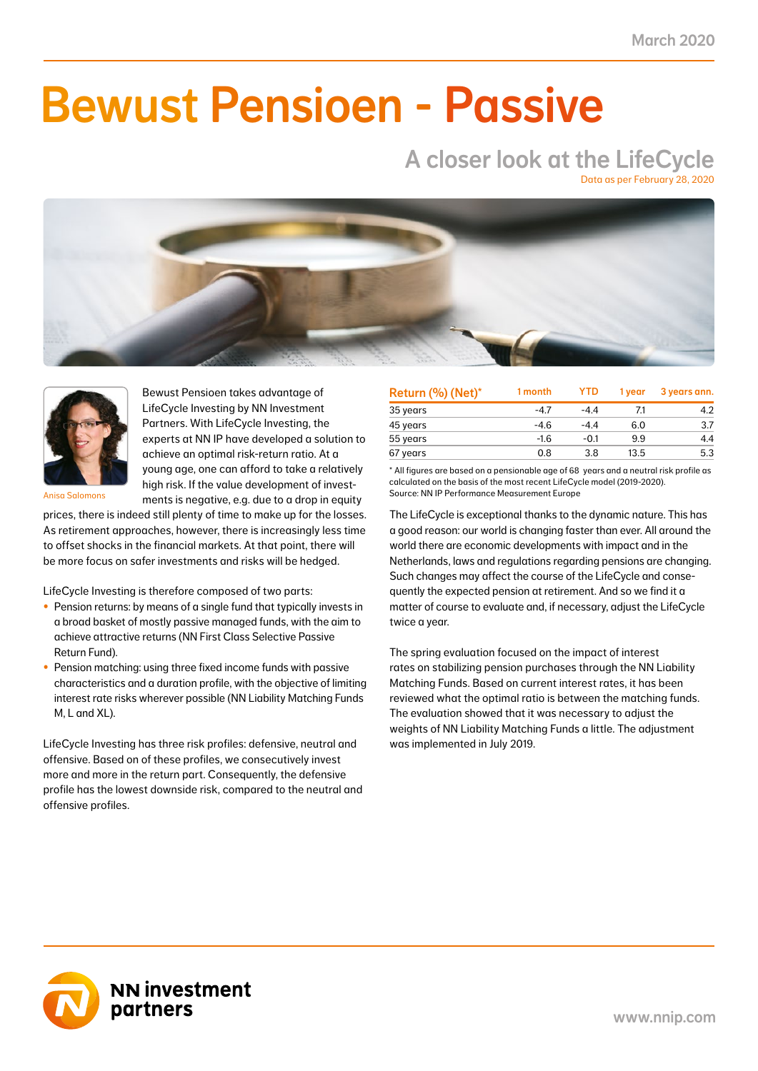NN First Class Selective Passive Return Fund -5.8 -2.4 -6.0 -2.5 4.7 2.0 3.6 1.4 11.1 4.6 41.0

### NN Liability Matching Fund M 0.4 0.1 1.1 0.4 2.4 0.9 1.0 0.4 3.0 1.2 38.0  $\blacksquare$  IIMAAILIA NN Liability Matching Fund XL 9.0 1.1 22.0 2.3 63.3 6.0 18.7 2.1 67.3 6.6 11.0 Bewust Pensioen - Passive

# A closer look at the LifeCycle

Data as per February 28, 2020





Bewust Pensioen takes advantage of LifeCycle Investing by NN Investment Partners. With LifeCycle Investing, the experts at NN IP have developed a solution to achieve an optimal risk-return ratio. At a young age, one can afford to take a relatively high risk. If the value development of investments is negative, e.g. due to a drop in equity

Anisa Salomons

prices, there is indeed still plenty of time to make up for the losses. As retirement approaches, however, there is increasingly less time to offset shocks in the financial markets. At that point, there will be more focus on safer investments and risks will be hedged.

LifeCycle Investing is therefore composed of two parts:

- Pension returns: by means of a single fund that typically invests in a broad basket of mostly passive managed funds, with the aim to achieve attractive returns (NN First Class Selective Passive Return Fund).
- Pension matching: using three fixed income funds with passive characteristics and a duration profile, with the objective of limiting interest rate risks wherever possible (NN Liability Matching Funds M, L and XL).

LifeCycle Investing has three risk profiles: defensive, neutral and offensive. Based on of these profiles, we consecutively invest more and more in the return part. Consequently, the defensive profile has the lowest downside risk, compared to the neutral and offensive profiles.

| Return (%) (Net)* | 1 month | <b>YTD</b> | 1 vear | 3 years ann. |
|-------------------|---------|------------|--------|--------------|
| 35 years          | $-4.7$  | $-4.4$     | 71     | 4.2          |
| 45 years          | $-4.6$  | $-4.4$     | 6.0    | 3.7          |
| 55 years          | $-1.6$  | $-0.1$     | 9.9    | 4.4          |
| 67 years          | 0.8     | 3.8        | 13.5   | 5.3          |

\* All figures are based on a pensionable age of 68 years and a neutral risk profile as calculated on the basis of the most recent LifeCycle model (2019-2020). Source: NN IP Performance Measurement Europe

The LifeCycle is exceptional thanks to the dynamic nature. This has a good reason: our world is changing faster than ever. All around the world there are economic developments with impact and in the Netherlands, laws and regulations regarding pensions are changing. Such changes may affect the course of the LifeCycle and consequently the expected pension at retirement. And so we find it a matter of course to evaluate and, if necessary, adjust the LifeCycle twice a year.

The spring evaluation focused on the impact of interest rates on stabilizing pension purchases through the NN Liability Matching Funds. Based on current interest rates, it has been reviewed what the optimal ratio is between the matching funds. The evaluation showed that it was necessary to adjust the weights of NN Liability Matching Funds a little. The adjustment was implemented in July 2019.

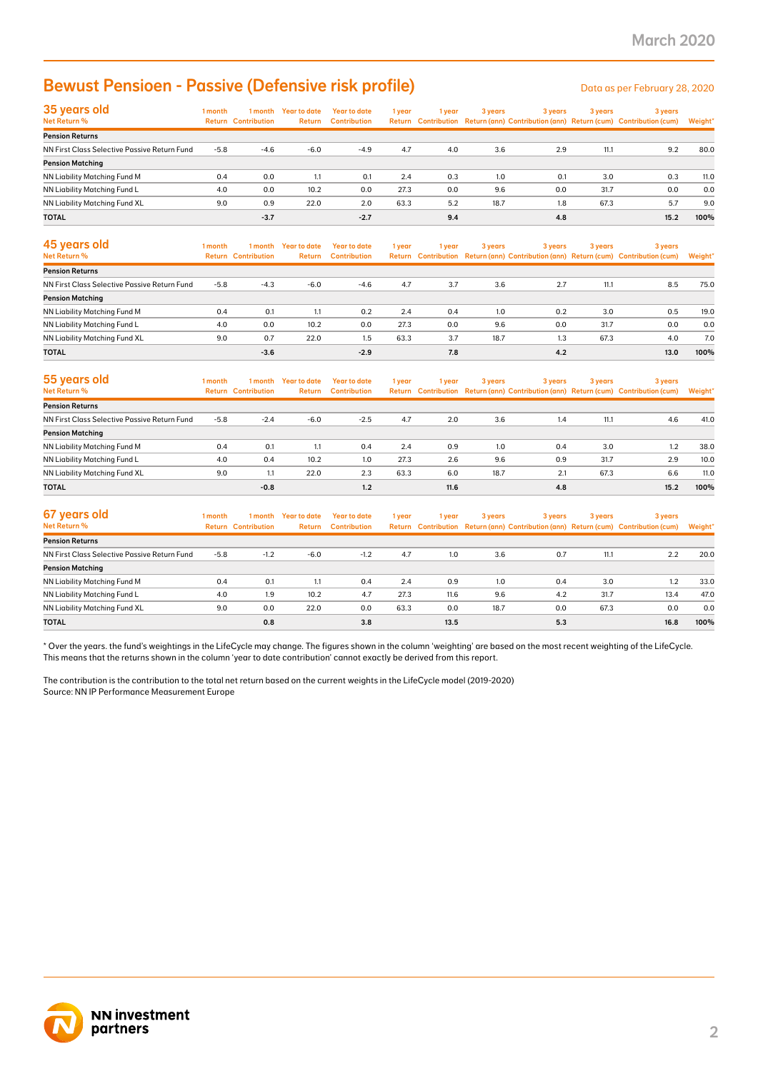### Bewust Pensioen - Passive (Defensive risk profile)

| 35 years old<br>Net Return %                 | 1 month | 1 month<br><b>Return Contribution</b> | <b>Year to date</b><br>Return | Year to date<br><b>Contribution</b> | 1 year | 1 year | 3 years | 3 years | 3 years | 3 years<br>Return Contribution Return (ann) Contribution (ann) Return (cum) Contribution (cum) | Weight* |
|----------------------------------------------|---------|---------------------------------------|-------------------------------|-------------------------------------|--------|--------|---------|---------|---------|------------------------------------------------------------------------------------------------|---------|
| <b>Pension Returns</b>                       |         |                                       |                               |                                     |        |        |         |         |         |                                                                                                |         |
| NN First Class Selective Passive Return Fund | $-5.8$  | $-4.6$                                | $-6.0$                        | $-4.9$                              | 4.7    | 4.0    | 3.6     | 2.9     | 11.1    | 9.2                                                                                            | 80.0    |
| <b>Pension Matching</b>                      |         |                                       |                               |                                     |        |        |         |         |         |                                                                                                |         |
| NN Liability Matching Fund M                 | 0.4     | 0.0                                   | 1.1                           | 0.1                                 | 2.4    | 0.3    | 1.0     | 0.1     | 3.0     | 0.3                                                                                            | 11.0    |
| NN Liability Matching Fund L                 | 4.0     | 0.0                                   | 10.2                          | 0.0                                 | 27.3   | 0.0    | 9.6     | 0.0     | 31.7    | 0.0                                                                                            | 0.0     |
| NN Liability Matching Fund XL                | 9.0     | 0.9                                   | 22.0                          | 2.0                                 | 63.3   | 5.2    | 18.7    | 1.8     | 67.3    | 5.7                                                                                            | 9.0     |
| <b>TOTAL</b>                                 |         | $-3.7$                                |                               | $-2.7$                              |        | 9.4    |         | 4.8     |         | 15.2                                                                                           | 100%    |

| <b>Bewust Pensioen - Passive (Defensive risk profile)</b>                                                                                                                                                                                                                                                                                                                                                                                                                          |            |                                       |                                |                                            |             |             |            |            |             | Data as per February 28, 2020                                                                  |             |
|------------------------------------------------------------------------------------------------------------------------------------------------------------------------------------------------------------------------------------------------------------------------------------------------------------------------------------------------------------------------------------------------------------------------------------------------------------------------------------|------------|---------------------------------------|--------------------------------|--------------------------------------------|-------------|-------------|------------|------------|-------------|------------------------------------------------------------------------------------------------|-------------|
| 35 years old<br>Net Return %                                                                                                                                                                                                                                                                                                                                                                                                                                                       | 1 month    | <b>Return Contribution</b>            | 1 month Year to date<br>Return | <b>Year to date</b><br><b>Contribution</b> | 1 year      | 1 year      | 3 years    | 3 years    | 3 years     | 3 years<br>Return Contribution Return (ann) Contribution (ann) Return (cum) Contribution (cum) | Weight'     |
| <b>Pension Returns</b>                                                                                                                                                                                                                                                                                                                                                                                                                                                             |            |                                       |                                |                                            |             |             |            |            |             |                                                                                                |             |
| NN First Class Selective Passive Return Fund                                                                                                                                                                                                                                                                                                                                                                                                                                       | $-5.8$     | $-4.6$                                | $-6.0$                         | $-4.9$                                     | 4.7         | 4.0         | 3.6        | 2.9        | 11.1        | 9.2                                                                                            | 80.0        |
| <b>Pension Matching</b>                                                                                                                                                                                                                                                                                                                                                                                                                                                            |            |                                       |                                |                                            |             |             |            | 0.1        |             |                                                                                                |             |
| NN Liability Matching Fund M<br>NN Liability Matching Fund L                                                                                                                                                                                                                                                                                                                                                                                                                       | 0.4<br>4.0 | 0.0<br>0.0                            | 1.1<br>10.2                    | 0.1<br>0.0                                 | 2.4<br>27.3 | 0.3<br>0.0  | 1.0<br>9.6 | 0.0        | 3.0<br>31.7 | 0.3<br>0.0                                                                                     | 11.0<br>0.0 |
| NN Liability Matching Fund XL                                                                                                                                                                                                                                                                                                                                                                                                                                                      | 9.0        | 0.9                                   | 22.0                           | 2.0                                        | 63.3        | 5.2         | 18.7       | 1.8        | 67.3        | 5.7                                                                                            | 9.0         |
| <b>TOTAL</b>                                                                                                                                                                                                                                                                                                                                                                                                                                                                       |            | $-3.7$                                |                                | $-2.7$                                     |             | 9.4         |            | 4.8        |             | 15.2                                                                                           | 100%        |
|                                                                                                                                                                                                                                                                                                                                                                                                                                                                                    |            |                                       |                                |                                            |             |             |            |            |             |                                                                                                |             |
| 45 years old<br>Net Return %                                                                                                                                                                                                                                                                                                                                                                                                                                                       | 1 month    | 1 month<br><b>Return Contribution</b> | <b>Year to date</b><br>Return  | <b>Year to date</b><br><b>Contribution</b> | 1 year      | 1 year      | 3 years    | 3 years    | 3 years     | 3 years<br>Return Contribution Return (ann) Contribution (ann) Return (cum) Contribution (cum) | Weight'     |
| <b>Pension Returns</b>                                                                                                                                                                                                                                                                                                                                                                                                                                                             |            |                                       |                                |                                            |             |             |            |            |             |                                                                                                |             |
| NN First Class Selective Passive Return Fund                                                                                                                                                                                                                                                                                                                                                                                                                                       | $-5.8$     | $-4.3$                                | $-6.0$                         | $-4.6$                                     | 4.7         | 3.7         | 3.6        | 2.7        | 11.1        | 8.5                                                                                            | 75.0        |
| <b>Pension Matching</b>                                                                                                                                                                                                                                                                                                                                                                                                                                                            |            |                                       |                                |                                            |             |             |            |            |             |                                                                                                |             |
| NN Liability Matching Fund M                                                                                                                                                                                                                                                                                                                                                                                                                                                       | 0.4        | 0.1                                   | 1.1                            | 0.2                                        | 2.4         | 0.4         | 1.0        | 0.2        | 3.0         | 0.5                                                                                            | 19.0        |
| NN Liability Matching Fund L                                                                                                                                                                                                                                                                                                                                                                                                                                                       | 4.0        | 0.0                                   | 10.2                           | 0.0                                        | 27.3        | 0.0         | 9.6        | 0.0        | 31.7        | 0.0                                                                                            | 0.0         |
| NN Liability Matching Fund XL                                                                                                                                                                                                                                                                                                                                                                                                                                                      | 9.0        | 0.7                                   | 22.0                           | 1.5                                        | 63.3        | 3.7         | 18.7       | 1.3        | 67.3        | 4.0                                                                                            | 7.0         |
| TOTAL                                                                                                                                                                                                                                                                                                                                                                                                                                                                              |            | $-3.6$                                |                                | $-2.9$                                     |             | 7.8         |            | 4.2        |             | 13.0                                                                                           | 100%        |
| 55 years old<br>Net Return %                                                                                                                                                                                                                                                                                                                                                                                                                                                       | 1 month    | 1 month<br><b>Return Contribution</b> | <b>Year to date</b><br>Return  | <b>Year to date</b><br><b>Contribution</b> | 1 year      | 1 year      | 3 years    | 3 years    | 3 years     | 3 years<br>Return Contribution Return (ann) Contribution (ann) Return (cum) Contribution (cum) | Weight'     |
| <b>Pension Returns</b>                                                                                                                                                                                                                                                                                                                                                                                                                                                             |            |                                       |                                |                                            |             |             |            |            |             |                                                                                                |             |
| NN First Class Selective Passive Return Fund                                                                                                                                                                                                                                                                                                                                                                                                                                       | $-5.8$     | $-2.4$                                | $-6.0$                         | $-2.5$                                     | 4.7         | 2.0         | 3.6        | 1.4        | 11.1        | 4.6                                                                                            | 41.0        |
| <b>Pension Matching</b>                                                                                                                                                                                                                                                                                                                                                                                                                                                            |            |                                       |                                |                                            |             |             |            |            |             |                                                                                                |             |
| NN Liability Matching Fund M                                                                                                                                                                                                                                                                                                                                                                                                                                                       | 0.4        | 0.1                                   | 1.1                            | 0.4                                        | 2.4         | 0.9         | 1.0        | 0.4        | 3.0         | 1.2                                                                                            | 38.0        |
| NN Liability Matching Fund L                                                                                                                                                                                                                                                                                                                                                                                                                                                       | 4.0        | 0.4                                   | 10.2                           | 1.0                                        | 27.3        | 2.6         | 9.6        | 0.9        | 31.7        | 2.9                                                                                            | 10.0        |
| NN Liability Matching Fund XL                                                                                                                                                                                                                                                                                                                                                                                                                                                      | 9.0        | 1.1                                   | 22.0                           | 2.3                                        | 63.3        | 6.0         | 18.7       | 2.1        | 67.3        | 6.6                                                                                            | 11.0        |
| TOTAL                                                                                                                                                                                                                                                                                                                                                                                                                                                                              |            | $-0.8$                                |                                | 1.2                                        |             | 11.6        |            | 4.8        |             | 15.2                                                                                           | 100%        |
| 67 years old                                                                                                                                                                                                                                                                                                                                                                                                                                                                       |            |                                       |                                |                                            |             |             |            |            |             |                                                                                                |             |
| Net Return %                                                                                                                                                                                                                                                                                                                                                                                                                                                                       | 1 month    | 1 month<br><b>Return Contribution</b> | <b>Year to date</b><br>Return  | <b>Year to date</b><br><b>Contribution</b> | 1 year      | 1 year      | 3 years    | 3 years    | 3 years     | 3 years<br>Return Contribution Return (ann) Contribution (ann) Return (cum) Contribution (cum) | Weight'     |
| <b>Pension Returns</b>                                                                                                                                                                                                                                                                                                                                                                                                                                                             |            |                                       |                                |                                            |             |             |            |            |             |                                                                                                |             |
| NN First Class Selective Passive Return Fund                                                                                                                                                                                                                                                                                                                                                                                                                                       | $-5.8$     | $-1.2$                                | $-6.0$                         | $-1.2$                                     | 4.7         | 1.0         | 3.6        | 0.7        | 11.1        | 2.2                                                                                            | 20.0        |
| <b>Pension Matching</b>                                                                                                                                                                                                                                                                                                                                                                                                                                                            |            |                                       |                                |                                            |             |             |            |            |             |                                                                                                |             |
| NN Liability Matching Fund M                                                                                                                                                                                                                                                                                                                                                                                                                                                       | 0.4        | 0.1                                   | 1.1                            | 0.4                                        | 2.4         | 0.9         | 1.0        | 0.4        | 3.0         | 1.2                                                                                            | 33.0        |
| NN Liability Matching Fund L                                                                                                                                                                                                                                                                                                                                                                                                                                                       | 4.0        | 1.9                                   | 10.2                           | 4.7                                        | 27.3        | 11.6        | 9.6        | 4.2        | 31.7        | 13.4                                                                                           | 47.0        |
| NN Liability Matching Fund XL<br><b>TOTAL</b>                                                                                                                                                                                                                                                                                                                                                                                                                                      | 9.0        | 0.0<br>0.8                            | 22.0                           | 0.0<br>3.8                                 | 63.3        | 0.0<br>13.5 | 18.7       | 0.0<br>5.3 | 67.3        | 0.0<br>16.8                                                                                    | 0.0<br>100% |
| Over the years. the fund's weightings in the LifeCycle may change. The figures shown in the column 'weighting' are based on the most recent weighting of the LifeCycle.<br>This means that the returns shown in the column 'year to date contribution' cannot exactly be derived from this report.<br>The contribution is the contribution to the total net return based on the current weights in the LifeCycle model (2019-2020)<br>Source: NN IP Performance Measurement Europe |            |                                       |                                |                                            |             |             |            |            |             |                                                                                                |             |
|                                                                                                                                                                                                                                                                                                                                                                                                                                                                                    |            |                                       |                                |                                            |             |             |            |            |             |                                                                                                |             |
| <b>NN investment</b><br>partners                                                                                                                                                                                                                                                                                                                                                                                                                                                   |            |                                       |                                |                                            |             |             |            |            |             |                                                                                                |             |

| 55 years old                                 | 1 month | 1 month                    | <b>Year to date</b> | <b>Year to date</b> | 1 year | 1 year | 3 years | 3 years | 3 years | 3 years                                                                             |         |
|----------------------------------------------|---------|----------------------------|---------------------|---------------------|--------|--------|---------|---------|---------|-------------------------------------------------------------------------------------|---------|
| <b>Net Return %</b>                          |         | <b>Return Contribution</b> | Return              | <b>Contribution</b> |        |        |         |         |         | Return Contribution Return (ann) Contribution (ann) Return (cum) Contribution (cum) | Weight* |
| <b>Pension Returns</b>                       |         |                            |                     |                     |        |        |         |         |         |                                                                                     |         |
| NN First Class Selective Passive Return Fund | $-5.8$  | $-2.4$                     | $-6.0$              | $-2.5$              | 4.7    | 2.0    | 3.6     | 1.4     | 11.1    | 4.6                                                                                 | 41.0    |
| <b>Pension Matching</b>                      |         |                            |                     |                     |        |        |         |         |         |                                                                                     |         |
| NN Liability Matching Fund M                 | 0.4     | 0.1                        | 1.1                 | 0.4                 | 2.4    | 0.9    | 1.0     | 0.4     | 3.0     | 1.2                                                                                 | 38.0    |
| NN Liability Matching Fund L                 | 4.0     | 0.4                        | 10.2                | 1.0                 | 27.3   | 2.6    | 9.6     | 0.9     | 31.7    | 2.9                                                                                 | 10.0    |
| NN Liability Matching Fund XL                | 9.0     | 1.1                        | 22.0                | 2.3                 | 63.3   | 6.0    | 18.7    | 2.1     | 67.3    | 6.6                                                                                 | 11.0    |
| <b>TOTAL</b>                                 |         | $-0.8$                     |                     | 1.2                 |        | 11.6   |         | 4.8     |         | 15.2                                                                                | 100%    |

| 67 years old<br>Net Return %                 | 1 month | 1 month<br><b>Return Contribution</b> | Year to date<br><b>Return</b> | Year to date<br><b>Contribution</b> | 1 year | l vear | 3 years | 3 years | 3 years | 3 years<br>Return Contribution Return (ann) Contribution (ann) Return (cum) Contribution (cum) | Weight* |
|----------------------------------------------|---------|---------------------------------------|-------------------------------|-------------------------------------|--------|--------|---------|---------|---------|------------------------------------------------------------------------------------------------|---------|
| <b>Pension Returns</b>                       |         |                                       |                               |                                     |        |        |         |         |         |                                                                                                |         |
| NN First Class Selective Passive Return Fund | $-5.8$  | $-1.2$                                | $-6.0$                        | $-1.2$                              | 4.7    | 1.0    | 3.6     | 0.7     | 11.1    | 2.2                                                                                            | 20.0    |
| <b>Pension Matching</b>                      |         |                                       |                               |                                     |        |        |         |         |         |                                                                                                |         |
| NN Liability Matching Fund M                 | 0.4     | 0.1                                   | 1.1                           | 0.4                                 | 2.4    | 0.9    | 1.0     | 0.4     | 3.0     | 1.2                                                                                            | 33.0    |
| NN Liability Matching Fund L                 | 4.0     | 1.9                                   | 10.2                          | 4.7                                 | 27.3   | 11.6   | 9.6     | 4.2     | 31.7    | 13.4                                                                                           | 47.0    |
| NN Liability Matching Fund XL                | 9.0     | 0.0                                   | 22.0                          | 0.0                                 | 63.3   | 0.0    | 18.7    | 0.0     | 67.3    | 0.0                                                                                            | 0.0     |
| <b>TOTAL</b>                                 |         | 0.8                                   |                               | 3.8                                 |        | 13.5   |         | 5.3     |         | 16.8                                                                                           | 100%    |

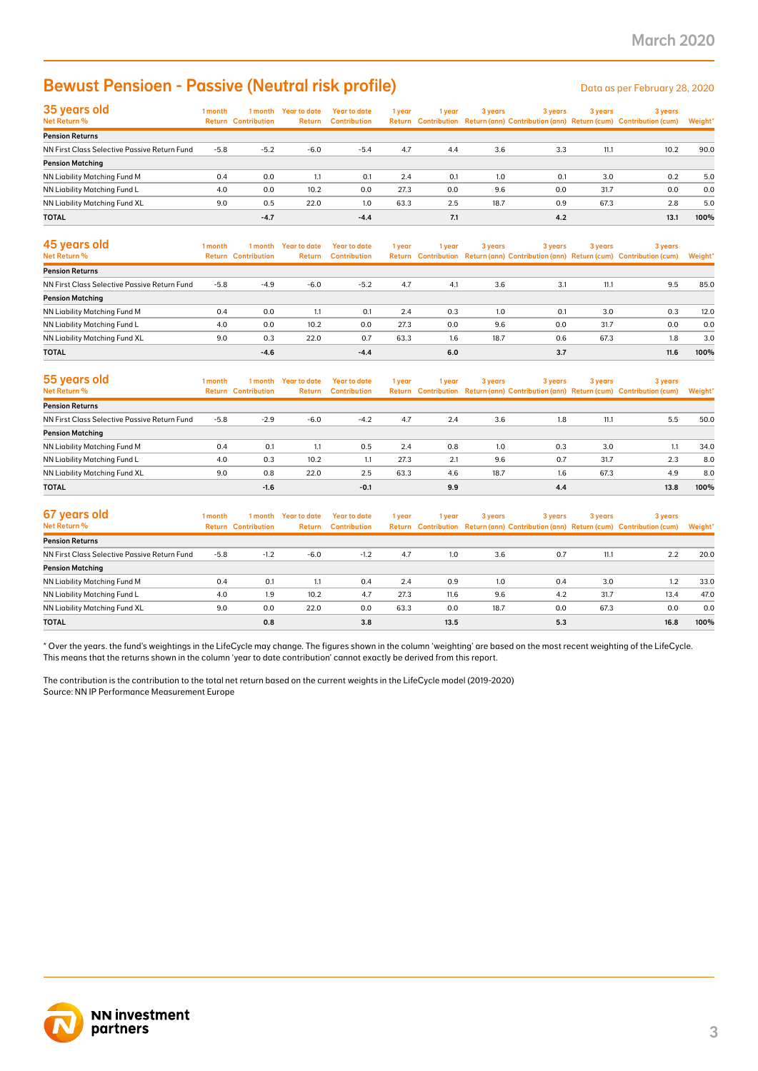### Bewust Pensioen - Passive (Neutral risk profile) Data as per February 28, 2020

| 35 years old                                 | 1 month | 1 month                    | Year to date  | Year to date        | 1 year | 1 year | 3 years | 3 years | 3 years | 3 years                                                                             |         |
|----------------------------------------------|---------|----------------------------|---------------|---------------------|--------|--------|---------|---------|---------|-------------------------------------------------------------------------------------|---------|
| Net Return %                                 |         | <b>Return Contribution</b> | <b>Return</b> | <b>Contribution</b> |        |        |         |         |         | Return Contribution Return (ann) Contribution (ann) Return (cum) Contribution (cum) | Weight* |
| <b>Pension Returns</b>                       |         |                            |               |                     |        |        |         |         |         |                                                                                     |         |
| NN First Class Selective Passive Return Fund | $-5.8$  | $-5.2$                     | $-6.0$        | $-5.4$              | 4.7    | 4.4    | 3.6     | 3.3     | 11.1    | 10.2                                                                                | 90.0    |
| <b>Pension Matching</b>                      |         |                            |               |                     |        |        |         |         |         |                                                                                     |         |
| NN Liability Matching Fund M                 | 0.4     | 0.0                        | 1.1           | 0.1                 | 2.4    | 0.1    | 1.0     | 0.1     | 3.0     | 0.2                                                                                 | 5.0     |
| NN Liability Matching Fund L                 | 4.0     | 0.0                        | 10.2          | 0.0                 | 27.3   | 0.0    | 9.6     | 0.0     | 31.7    | 0.0                                                                                 | 0.0     |
| NN Liability Matching Fund XL                | 9.0     | 0.5                        | 22.0          | 1.0                 | 63.3   | 2.5    | 18.7    | 0.9     | 67.3    | 2.8                                                                                 | 5.0     |
| <b>TOTAL</b>                                 |         | $-4.7$                     |               | $-4.4$              |        | 7.1    |         | 4.2     |         | 13.1                                                                                | 100%    |

| <b>Bewust Pensioen - Passive (Neutral risk profile)</b>                                                                                                                                                                                                                                                 |         |                                       |                                      |                                            |        |        |         |         |         | Data as per February 28, 2020                                                                  |                |
|---------------------------------------------------------------------------------------------------------------------------------------------------------------------------------------------------------------------------------------------------------------------------------------------------------|---------|---------------------------------------|--------------------------------------|--------------------------------------------|--------|--------|---------|---------|---------|------------------------------------------------------------------------------------------------|----------------|
| 35 years old<br>Net Return %                                                                                                                                                                                                                                                                            | 1 month | <b>Return Contribution</b>            | 1 month Year to date<br>Return       | <b>Year to date</b><br><b>Contribution</b> | 1 year | 1 year | 3 years | 3 years | 3 years | 3 years<br>Return Contribution Return (ann) Contribution (ann) Return (cum) Contribution (cum) | <b>Weight'</b> |
| <b>Pension Returns</b>                                                                                                                                                                                                                                                                                  |         |                                       |                                      |                                            |        |        |         |         |         |                                                                                                |                |
| NN First Class Selective Passive Return Fund                                                                                                                                                                                                                                                            | $-5.8$  | $-5.2$                                | $-6.0$                               | $-5.4$                                     | 4.7    | 4.4    | 3.6     | 3.3     | 11.1    | 10.2                                                                                           | 90.0           |
| <b>Pension Matching</b><br>NN Liability Matching Fund M                                                                                                                                                                                                                                                 | 0.4     | 0.0                                   | 1.1                                  | 0.1                                        | 2.4    | 0.1    | 1.0     | 0.1     | 3.0     | 0.2                                                                                            | 5.0            |
| NN Liability Matching Fund L                                                                                                                                                                                                                                                                            | 4.0     | 0.0                                   | 10.2                                 | 0.0                                        | 27.3   | 0.0    | 9.6     | 0.0     | 31.7    | 0.0                                                                                            | 0.0            |
| NN Liability Matching Fund XL                                                                                                                                                                                                                                                                           | 9.0     | 0.5                                   | 22.0                                 | 1.0                                        | 63.3   | 2.5    | 18.7    | 0.9     | 67.3    | 2.8                                                                                            | 5.0            |
| TOTAL                                                                                                                                                                                                                                                                                                   |         | $-4.7$                                |                                      | $-4.4$                                     |        | 7.1    |         | 4.2     |         | 13.1                                                                                           | 100%           |
| 45 years old<br>Net Return %                                                                                                                                                                                                                                                                            | 1 month | 1 month<br><b>Return Contribution</b> | <b>Year to date</b><br><b>Return</b> | <b>Year to date</b><br><b>Contribution</b> | 1 year | 1 year | 3 years | 3 years | 3 years | 3 years<br>Return Contribution Return (ann) Contribution (ann) Return (cum) Contribution (cum) | <b>Weight'</b> |
| <b>Pension Returns</b>                                                                                                                                                                                                                                                                                  |         |                                       |                                      |                                            |        |        |         |         |         |                                                                                                |                |
| NN First Class Selective Passive Return Fund                                                                                                                                                                                                                                                            | $-5.8$  | $-4.9$                                | $-6.0$                               | $-5.2$                                     | 4.7    | 4.1    | 3.6     | 3.1     | 11.1    | 9.5                                                                                            | 85.0           |
| <b>Pension Matching</b>                                                                                                                                                                                                                                                                                 |         |                                       |                                      |                                            |        |        |         |         |         |                                                                                                |                |
| NN Liability Matching Fund M                                                                                                                                                                                                                                                                            | 0.4     | 0.0                                   | 1.1                                  | 0.1                                        | 2.4    | 0.3    | 1.0     | 0.1     | 3.0     | 0.3                                                                                            | 12.0           |
| NN Liability Matching Fund L                                                                                                                                                                                                                                                                            | 4.0     | 0.0                                   | 10.2                                 | 0.0                                        | 27.3   | 0.0    | 9.6     | 0.0     | 31.7    | 0.0                                                                                            | 0.0            |
| NN Liability Matching Fund XL                                                                                                                                                                                                                                                                           | 9.0     | 0.3                                   | 22.0                                 | 0.7                                        | 63.3   | 1.6    | 18.7    | 0.6     | 67.3    | 1.8                                                                                            | 3.0            |
| TOTAL                                                                                                                                                                                                                                                                                                   |         | $-4.6$                                |                                      | $-4.4$                                     |        | 6.0    |         | 3.7     |         | 11.6                                                                                           | 100%           |
| 55 years old<br><b>Net Return %</b>                                                                                                                                                                                                                                                                     | 1 month | 1 month<br><b>Return Contribution</b> | <b>Year to date</b><br>Return        | <b>Year to date</b><br><b>Contribution</b> | 1 year | 1 year | 3 years | 3 years | 3 years | 3 years<br>Return Contribution Return (ann) Contribution (ann) Return (cum) Contribution (cum) | <b>Weight</b>  |
| <b>Pension Returns</b>                                                                                                                                                                                                                                                                                  |         |                                       |                                      |                                            |        |        |         |         |         |                                                                                                |                |
| NN First Class Selective Passive Return Fund                                                                                                                                                                                                                                                            | $-5.8$  | $-2.9$                                | $-6.0$                               | $-4.2$                                     | 4.7    | 2.4    | 3.6     | 1.8     | 11.1    | 5.5                                                                                            | 50.0           |
| <b>Pension Matching</b>                                                                                                                                                                                                                                                                                 |         |                                       |                                      |                                            |        |        |         |         |         |                                                                                                |                |
| NN Liability Matching Fund M                                                                                                                                                                                                                                                                            | 0.4     | 0.1                                   | 1.1                                  | 0.5                                        | 2.4    | 0.8    | 1.0     | 0.3     | 3.0     | 1.1                                                                                            | 34.0           |
| NN Liability Matching Fund L                                                                                                                                                                                                                                                                            | 4.0     | 0.3                                   | 10.2                                 | 1.1                                        | 27.3   | 2.1    | 9.6     | 0.7     | 31.7    | 2.3                                                                                            | 8.0            |
| NN Liability Matching Fund XL                                                                                                                                                                                                                                                                           | 9.0     | 0.8                                   | 22.0                                 | 2.5                                        | 63.3   | 4.6    | 18.7    | 1.6     | 67.3    | 4.9                                                                                            | 8.0            |
| <b>TOTAL</b>                                                                                                                                                                                                                                                                                            |         | $-1.6$                                |                                      | $-0.1$                                     |        | 9.9    |         | 4.4     |         | 13.8                                                                                           | 100%           |
| 67 years old<br>Net Return %                                                                                                                                                                                                                                                                            | 1 month | 1 month<br><b>Return Contribution</b> | <b>Year to date</b><br>Return        | <b>Year to date</b><br><b>Contribution</b> | 1 year | 1 year | 3 years | 3 years | 3 years | 3 years<br>Return Contribution Return (ann) Contribution (ann) Return (cum) Contribution (cum) | <b>Weight'</b> |
| <b>Pension Returns</b>                                                                                                                                                                                                                                                                                  |         |                                       |                                      |                                            |        |        |         |         |         |                                                                                                |                |
| NN First Class Selective Passive Return Fund                                                                                                                                                                                                                                                            | $-5.8$  | $-1.2$                                | $-6.0$                               | $-1.2$                                     | 4.7    | 1.0    | 3.6     | 0.7     | 11.1    | 2.2                                                                                            | 20.0           |
| <b>Pension Matching</b>                                                                                                                                                                                                                                                                                 |         |                                       |                                      |                                            |        |        |         |         |         |                                                                                                |                |
| NN Liability Matching Fund M                                                                                                                                                                                                                                                                            | 0.4     | 0.1                                   | 1.1                                  | 0.4                                        | 2.4    | 0.9    | 1.0     | 0.4     | 3.0     | 1.2                                                                                            | 33.0           |
| NN Liability Matching Fund L                                                                                                                                                                                                                                                                            | 4.0     | 1.9                                   | 10.2                                 | 4.7                                        | 27.3   | 11.6   | 9.6     | 4.2     | 31.7    | 13.4                                                                                           | 47.0           |
| NN Liability Matching Fund XL                                                                                                                                                                                                                                                                           | 9.0     | 0.0                                   | 22.0                                 | 0.0                                        | 63.3   | 0.0    | 18.7    | 0.0     | 67.3    | 0.0                                                                                            | 0.0            |
| TOTAL                                                                                                                                                                                                                                                                                                   |         | 0.8                                   |                                      | 3.8                                        |        | 13.5   |         | 5.3     |         | 16.8                                                                                           | 100%           |
| This means that the returns shown in the column 'year to date contribution' cannot exactly be derived from this report.<br>The contribution is the contribution to the total net return based on the current weights in the LifeCycle model (2019-2020)<br>Source: NN IP Performance Measurement Europe |         |                                       |                                      |                                            |        |        |         |         |         |                                                                                                |                |
| <b>NN investment</b>                                                                                                                                                                                                                                                                                    |         |                                       |                                      |                                            |        |        |         |         |         |                                                                                                |                |

| 55 years old<br><b>Net Return %</b>          | 1 month<br>1 month |        | <b>Year to date</b><br>3 years<br>Year to date<br>1 year<br>1 year<br>Return Contribution Return (ann) Contribution (ann) Return (cum) Contribution (cum)<br><b>Return Contribution</b><br><b>Contribution</b> |        |      | 3 years |      | 3 years | 3 years |      |         |
|----------------------------------------------|--------------------|--------|----------------------------------------------------------------------------------------------------------------------------------------------------------------------------------------------------------------|--------|------|---------|------|---------|---------|------|---------|
|                                              |                    |        | Return                                                                                                                                                                                                         |        |      |         |      |         |         |      | Weight* |
| <b>Pension Returns</b>                       |                    |        |                                                                                                                                                                                                                |        |      |         |      |         |         |      |         |
| NN First Class Selective Passive Return Fund | $-5.8$             | $-2.9$ | $-6.0$                                                                                                                                                                                                         | $-4.2$ | 4.7  | 2.4     | 3.6  | 1.8     | 11.1    | 5.5  | 50.0    |
| <b>Pension Matching</b>                      |                    |        |                                                                                                                                                                                                                |        |      |         |      |         |         |      |         |
| NN Liability Matching Fund M                 | 0.4                | 0.1    | 1.1                                                                                                                                                                                                            | 0.5    | 2.4  | 0.8     | 1.0  | 0.3     | 3.0     | 1.1  | 34.0    |
| NN Liability Matching Fund L                 | 4.0                | 0.3    | 10.2                                                                                                                                                                                                           | 1.1    | 27.3 | 2.1     | 9.6  | 0.7     | 31.7    | 2.3  | 8.0     |
| NN Liability Matching Fund XL                | 9.0                | 0.8    | 22.0                                                                                                                                                                                                           | 2.5    | 63.3 | 4.6     | 18.7 | 1.6     | 67.3    | 4.9  | 8.0     |
| <b>TOTAL</b>                                 |                    | $-1.6$ |                                                                                                                                                                                                                | $-0.1$ |      | 9.9     |      | 4.4     |         | 13.8 | 100%    |

| 67 years old                                 | 1 month | 1 month                    | <b>Year to date</b> | Year to date        | 1 year | 1 year | 3 years | 3 years | 3 years | 3 years                                                                             |         |
|----------------------------------------------|---------|----------------------------|---------------------|---------------------|--------|--------|---------|---------|---------|-------------------------------------------------------------------------------------|---------|
| Net Return %                                 |         | <b>Return Contribution</b> | Return              | <b>Contribution</b> |        |        |         |         |         | Return Contribution Return (ann) Contribution (ann) Return (cum) Contribution (cum) | Weight* |
| <b>Pension Returns</b>                       |         |                            |                     |                     |        |        |         |         |         |                                                                                     |         |
| NN First Class Selective Passive Return Fund | $-5.8$  | $-1.2$                     | $-6.0$              | $-1.2$              | 4.7    | 1.0    | 3.6     | 0.7     | 11.1    | 2.2                                                                                 | 20.0    |
| <b>Pension Matching</b>                      |         |                            |                     |                     |        |        |         |         |         |                                                                                     |         |
| NN Liability Matching Fund M                 | 0.4     | 0.1                        | 1.1                 | 0.4                 | 2.4    | 0.9    | 1.0     | 0.4     | 3.0     | 1.2                                                                                 | 33.0    |
| NN Liability Matching Fund L                 | 4.0     | 1.9                        | 10.2                | 4.7                 | 27.3   | 11.6   | 9.6     | 4.2     | 31.7    | 13.4                                                                                | 47.0    |
| NN Liability Matching Fund XL                | 9.0     | 0.0                        | 22.0                | 0.0                 | 63.3   | 0.0    | 18.7    | 0.0     | 67.3    | 0.0                                                                                 | 0.0     |
| <b>TOTAL</b>                                 |         | 0.8                        |                     | 3.8                 |        | 13.5   |         | 5.3     |         | 16.8                                                                                | 100%    |